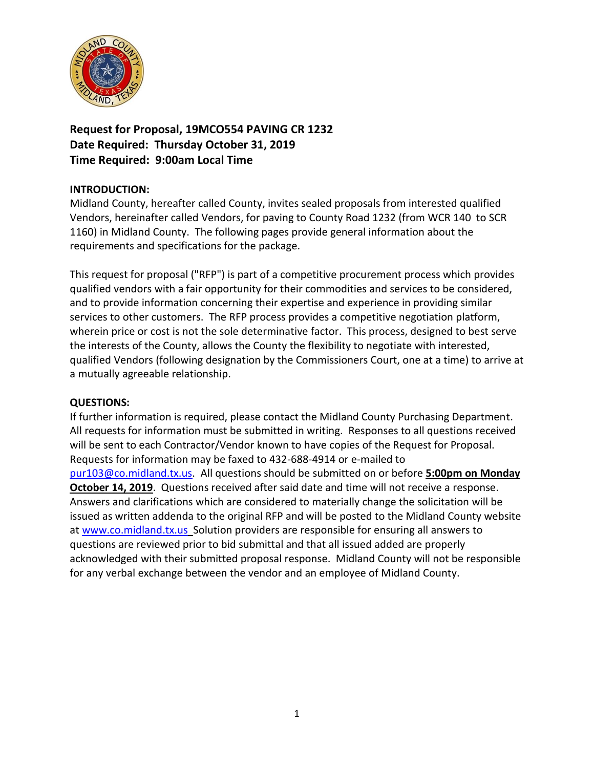

**Request for Proposal, 19MCO554 PAVING CR 1232 Date Required: Thursday October 31, 2019 Time Required: 9:00am Local Time**

# **INTRODUCTION:**

Midland County, hereafter called County, invites sealed proposals from interested qualified Vendors, hereinafter called Vendors, for paving to County Road 1232 (from WCR 140 to SCR 1160) in Midland County. The following pages provide general information about the requirements and specifications for the package.

This request for proposal ("RFP") is part of a competitive procurement process which provides qualified vendors with a fair opportunity for their commodities and services to be considered, and to provide information concerning their expertise and experience in providing similar services to other customers. The RFP process provides a competitive negotiation platform, wherein price or cost is not the sole determinative factor. This process, designed to best serve the interests of the County, allows the County the flexibility to negotiate with interested, qualified Vendors (following designation by the Commissioners Court, one at a time) to arrive at a mutually agreeable relationship.

### **QUESTIONS:**

If further information is required, please contact the Midland County Purchasing Department. All requests for information must be submitted in writing. Responses to all questions received will be sent to each Contractor/Vendor known to have copies of the Request for Proposal. Requests for information may be faxed to 432-688-4914 or e-mailed to [pur103@co.midland.tx.us.](mailto:pur103@co.midland.tx.us) All questions should be submitted on or before **5:00pm on Monday October 14, 2019**. Questions received after said date and time will not receive a response. Answers and clarifications which are considered to materially change the solicitation will be issued as written addenda to the original RFP and will be posted to the Midland County website at [www.co.midland.tx.us](http://www.co.midland.tx.us/) Solution providers are responsible for ensuring all answers to questions are reviewed prior to bid submittal and that all issued added are properly acknowledged with their submitted proposal response. Midland County will not be responsible for any verbal exchange between the vendor and an employee of Midland County.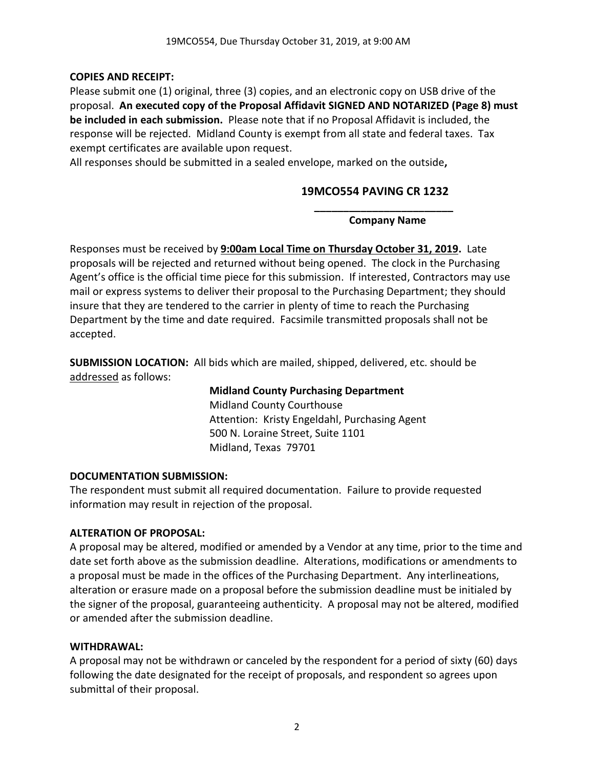# **COPIES AND RECEIPT:**

Please submit one (1) original, three (3) copies, and an electronic copy on USB drive of the proposal. **An executed copy of the Proposal Affidavit SIGNED AND NOTARIZED (Page 8) must be included in each submission.** Please note that if no Proposal Affidavit is included, the response will be rejected. Midland County is exempt from all state and federal taxes. Tax exempt certificates are available upon request.

All responses should be submitted in a sealed envelope, marked on the outside**,** 

# **19MCO554 PAVING CR 1232**

**\_\_\_\_\_\_\_\_\_\_\_\_\_\_\_\_\_\_\_\_\_\_\_\_ Company Name**

Responses must be received by **9:00am Local Time on Thursday October 31, 2019.** Late proposals will be rejected and returned without being opened. The clock in the Purchasing Agent's office is the official time piece for this submission. If interested, Contractors may use mail or express systems to deliver their proposal to the Purchasing Department; they should insure that they are tendered to the carrier in plenty of time to reach the Purchasing Department by the time and date required. Facsimile transmitted proposals shall not be accepted.

**SUBMISSION LOCATION:** All bids which are mailed, shipped, delivered, etc. should be addressed as follows:

> **Midland County Purchasing Department** Midland County Courthouse Attention: Kristy Engeldahl, Purchasing Agent 500 N. Loraine Street, Suite 1101 Midland, Texas 79701

# **DOCUMENTATION SUBMISSION:**

The respondent must submit all required documentation. Failure to provide requested information may result in rejection of the proposal.

# **ALTERATION OF PROPOSAL:**

A proposal may be altered, modified or amended by a Vendor at any time, prior to the time and date set forth above as the submission deadline. Alterations, modifications or amendments to a proposal must be made in the offices of the Purchasing Department. Any interlineations, alteration or erasure made on a proposal before the submission deadline must be initialed by the signer of the proposal, guaranteeing authenticity. A proposal may not be altered, modified or amended after the submission deadline.

# **WITHDRAWAL:**

A proposal may not be withdrawn or canceled by the respondent for a period of sixty (60) days following the date designated for the receipt of proposals, and respondent so agrees upon submittal of their proposal.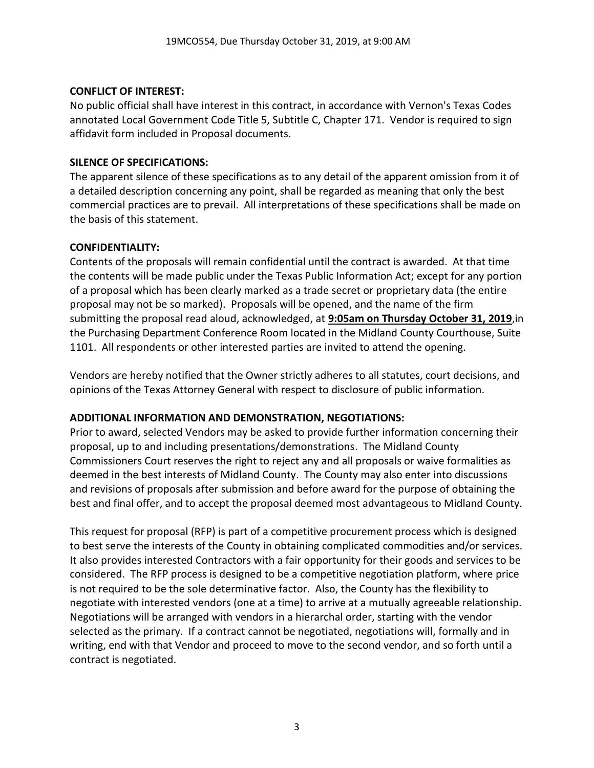# **CONFLICT OF INTEREST:**

No public official shall have interest in this contract, in accordance with Vernon's Texas Codes annotated Local Government Code Title 5, Subtitle C, Chapter 171. Vendor is required to sign affidavit form included in Proposal documents.

# **SILENCE OF SPECIFICATIONS:**

The apparent silence of these specifications as to any detail of the apparent omission from it of a detailed description concerning any point, shall be regarded as meaning that only the best commercial practices are to prevail. All interpretations of these specifications shall be made on the basis of this statement.

# **CONFIDENTIALITY:**

Contents of the proposals will remain confidential until the contract is awarded. At that time the contents will be made public under the Texas Public Information Act; except for any portion of a proposal which has been clearly marked as a trade secret or proprietary data (the entire proposal may not be so marked). Proposals will be opened, and the name of the firm submitting the proposal read aloud, acknowledged, at **9:05am on Thursday October 31, 2019**,in the Purchasing Department Conference Room located in the Midland County Courthouse, Suite 1101. All respondents or other interested parties are invited to attend the opening.

Vendors are hereby notified that the Owner strictly adheres to all statutes, court decisions, and opinions of the Texas Attorney General with respect to disclosure of public information.

# **ADDITIONAL INFORMATION AND DEMONSTRATION, NEGOTIATIONS:**

Prior to award, selected Vendors may be asked to provide further information concerning their proposal, up to and including presentations/demonstrations. The Midland County Commissioners Court reserves the right to reject any and all proposals or waive formalities as deemed in the best interests of Midland County. The County may also enter into discussions and revisions of proposals after submission and before award for the purpose of obtaining the best and final offer, and to accept the proposal deemed most advantageous to Midland County.

This request for proposal (RFP) is part of a competitive procurement process which is designed to best serve the interests of the County in obtaining complicated commodities and/or services. It also provides interested Contractors with a fair opportunity for their goods and services to be considered. The RFP process is designed to be a competitive negotiation platform, where price is not required to be the sole determinative factor. Also, the County has the flexibility to negotiate with interested vendors (one at a time) to arrive at a mutually agreeable relationship. Negotiations will be arranged with vendors in a hierarchal order, starting with the vendor selected as the primary. If a contract cannot be negotiated, negotiations will, formally and in writing, end with that Vendor and proceed to move to the second vendor, and so forth until a contract is negotiated.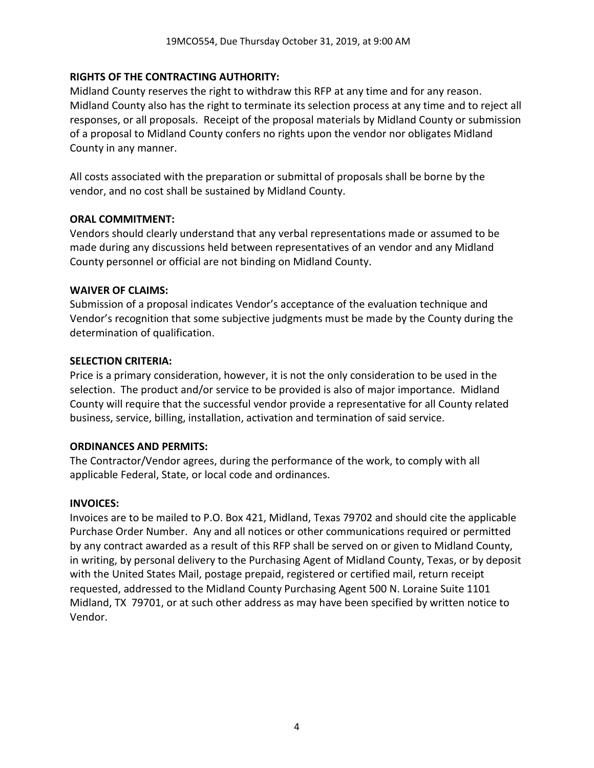# **RIGHTS OF THE CONTRACTING AUTHORITY:**

Midland County reserves the right to withdraw this RFP at any time and for any reason. Midland County also has the right to terminate its selection process at any time and to reject all responses, or all proposals. Receipt of the proposal materials by Midland County or submission of a proposal to Midland County confers no rights upon the vendor nor obligates Midland County in any manner.

All costs associated with the preparation or submittal of proposals shall be borne by the vendor, and no cost shall be sustained by Midland County.

### **ORAL COMMITMENT:**

Vendors should clearly understand that any verbal representations made or assumed to be made during any discussions held between representatives of an vendor and any Midland County personnel or official are not binding on Midland County.

### **WAIVER OF CLAIMS:**

Submission of a proposal indicates Vendor's acceptance of the evaluation technique and Vendor's recognition that some subjective judgments must be made by the County during the determination of qualification.

#### **SELECTION CRITERIA:**

Price is a primary consideration, however, it is not the only consideration to be used in the selection. The product and/or service to be provided is also of major importance. Midland County will require that the successful vendor provide a representative for all County related business, service, billing, installation, activation and termination of said service.

### **ORDINANCES AND PERMITS:**

The Contractor/Vendor agrees, during the performance of the work, to comply with all applicable Federal, State, or local code and ordinances.

### **INVOICES:**

Invoices are to be mailed to P.O. Box 421, Midland, Texas 79702 and should cite the applicable Purchase Order Number. Any and all notices or other communications required or permitted by any contract awarded as a result of this RFP shall be served on or given to Midland County, in writing, by personal delivery to the Purchasing Agent of Midland County, Texas, or by deposit with the United States Mail, postage prepaid, registered or certified mail, return receipt requested, addressed to the Midland County Purchasing Agent 500 N. Loraine Suite 1101 Midland, TX 79701, or at such other address as may have been specified by written notice to Vendor.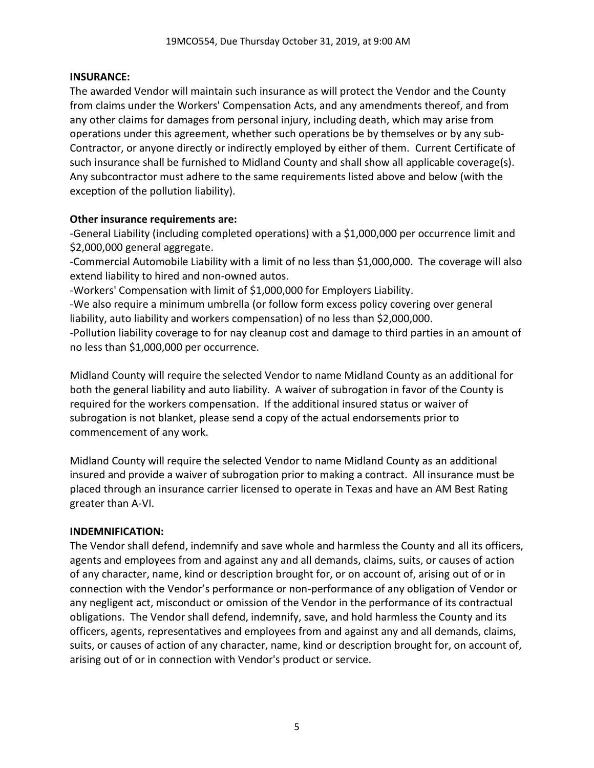### **INSURANCE:**

The awarded Vendor will maintain such insurance as will protect the Vendor and the County from claims under the Workers' Compensation Acts, and any amendments thereof, and from any other claims for damages from personal injury, including death, which may arise from operations under this agreement, whether such operations be by themselves or by any sub-Contractor, or anyone directly or indirectly employed by either of them. Current Certificate of such insurance shall be furnished to Midland County and shall show all applicable coverage(s). Any subcontractor must adhere to the same requirements listed above and below (with the exception of the pollution liability).

# **Other insurance requirements are:**

-General Liability (including completed operations) with a \$1,000,000 per occurrence limit and \$2,000,000 general aggregate.

-Commercial Automobile Liability with a limit of no less than \$1,000,000. The coverage will also extend liability to hired and non-owned autos.

-Workers' Compensation with limit of \$1,000,000 for Employers Liability.

-We also require a minimum umbrella (or follow form excess policy covering over general liability, auto liability and workers compensation) of no less than \$2,000,000.

-Pollution liability coverage to for nay cleanup cost and damage to third parties in an amount of no less than \$1,000,000 per occurrence.

Midland County will require the selected Vendor to name Midland County as an additional for both the general liability and auto liability. A waiver of subrogation in favor of the County is required for the workers compensation. If the additional insured status or waiver of subrogation is not blanket, please send a copy of the actual endorsements prior to commencement of any work.

Midland County will require the selected Vendor to name Midland County as an additional insured and provide a waiver of subrogation prior to making a contract. All insurance must be placed through an insurance carrier licensed to operate in Texas and have an AM Best Rating greater than A-VI.

### **INDEMNIFICATION:**

The Vendor shall defend, indemnify and save whole and harmless the County and all its officers, agents and employees from and against any and all demands, claims, suits, or causes of action of any character, name, kind or description brought for, or on account of, arising out of or in connection with the Vendor's performance or non-performance of any obligation of Vendor or any negligent act, misconduct or omission of the Vendor in the performance of its contractual obligations. The Vendor shall defend, indemnify, save, and hold harmless the County and its officers, agents, representatives and employees from and against any and all demands, claims, suits, or causes of action of any character, name, kind or description brought for, on account of, arising out of or in connection with Vendor's product or service.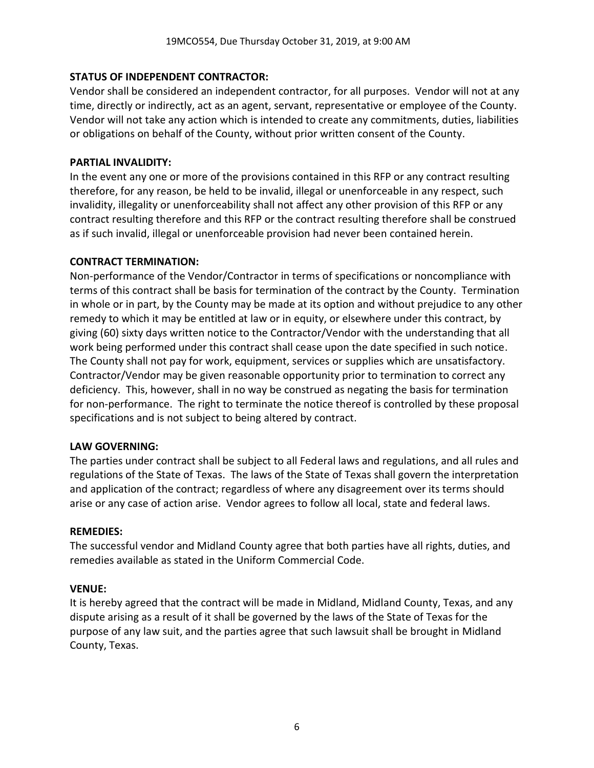# **STATUS OF INDEPENDENT CONTRACTOR:**

Vendor shall be considered an independent contractor, for all purposes. Vendor will not at any time, directly or indirectly, act as an agent, servant, representative or employee of the County. Vendor will not take any action which is intended to create any commitments, duties, liabilities or obligations on behalf of the County, without prior written consent of the County.

# **PARTIAL INVALIDITY:**

In the event any one or more of the provisions contained in this RFP or any contract resulting therefore, for any reason, be held to be invalid, illegal or unenforceable in any respect, such invalidity, illegality or unenforceability shall not affect any other provision of this RFP or any contract resulting therefore and this RFP or the contract resulting therefore shall be construed as if such invalid, illegal or unenforceable provision had never been contained herein.

### **CONTRACT TERMINATION:**

Non-performance of the Vendor/Contractor in terms of specifications or noncompliance with terms of this contract shall be basis for termination of the contract by the County. Termination in whole or in part, by the County may be made at its option and without prejudice to any other remedy to which it may be entitled at law or in equity, or elsewhere under this contract, by giving (60) sixty days written notice to the Contractor/Vendor with the understanding that all work being performed under this contract shall cease upon the date specified in such notice. The County shall not pay for work, equipment, services or supplies which are unsatisfactory. Contractor/Vendor may be given reasonable opportunity prior to termination to correct any deficiency. This, however, shall in no way be construed as negating the basis for termination for non-performance. The right to terminate the notice thereof is controlled by these proposal specifications and is not subject to being altered by contract.

### **LAW GOVERNING:**

The parties under contract shall be subject to all Federal laws and regulations, and all rules and regulations of the State of Texas. The laws of the State of Texas shall govern the interpretation and application of the contract; regardless of where any disagreement over its terms should arise or any case of action arise. Vendor agrees to follow all local, state and federal laws.

### **REMEDIES:**

The successful vendor and Midland County agree that both parties have all rights, duties, and remedies available as stated in the Uniform Commercial Code.

### **VENUE:**

It is hereby agreed that the contract will be made in Midland, Midland County, Texas, and any dispute arising as a result of it shall be governed by the laws of the State of Texas for the purpose of any law suit, and the parties agree that such lawsuit shall be brought in Midland County, Texas.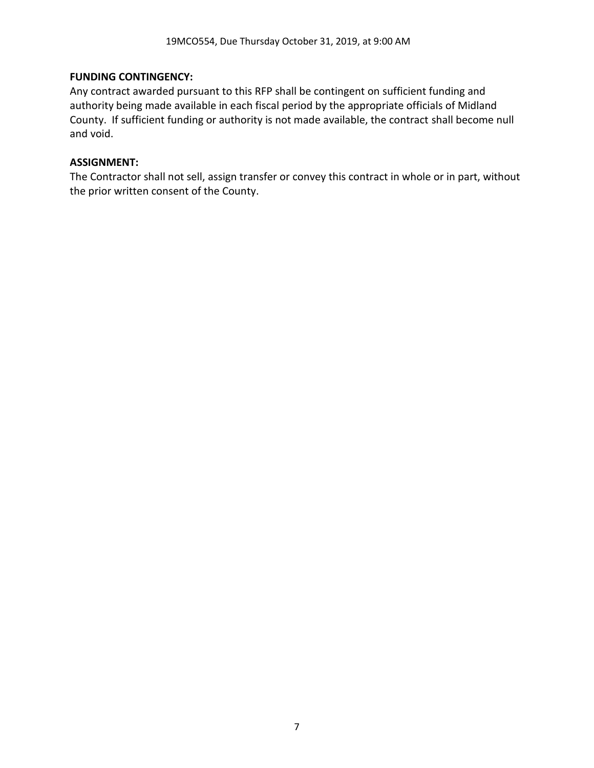# **FUNDING CONTINGENCY:**

Any contract awarded pursuant to this RFP shall be contingent on sufficient funding and authority being made available in each fiscal period by the appropriate officials of Midland County. If sufficient funding or authority is not made available, the contract shall become null and void.

# **ASSIGNMENT:**

The Contractor shall not sell, assign transfer or convey this contract in whole or in part, without the prior written consent of the County.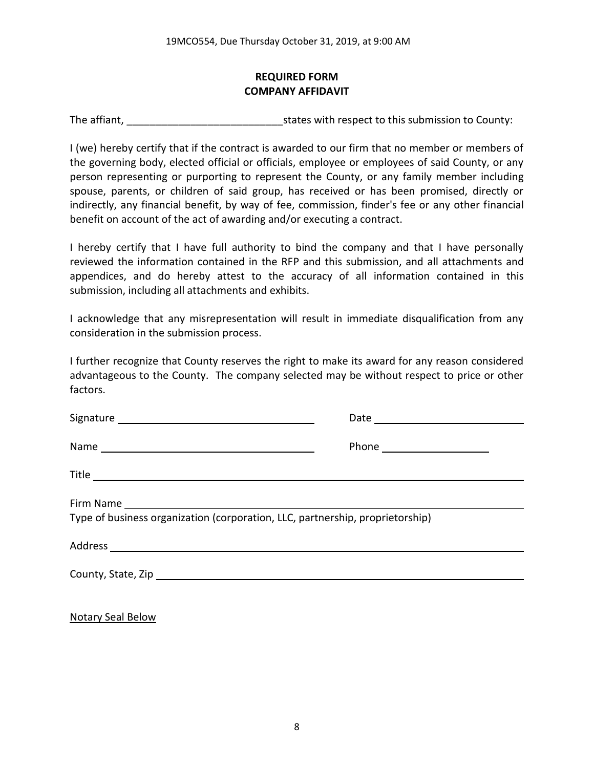# **REQUIRED FORM COMPANY AFFIDAVIT**

The affiant, The affiant, The affiant,  $\frac{1}{2}$  is tates with respect to this submission to County:

I (we) hereby certify that if the contract is awarded to our firm that no member or members of the governing body, elected official or officials, employee or employees of said County, or any person representing or purporting to represent the County, or any family member including spouse, parents, or children of said group, has received or has been promised, directly or indirectly, any financial benefit, by way of fee, commission, finder's fee or any other financial benefit on account of the act of awarding and/or executing a contract.

I hereby certify that I have full authority to bind the company and that I have personally reviewed the information contained in the RFP and this submission, and all attachments and appendices, and do hereby attest to the accuracy of all information contained in this submission, including all attachments and exhibits.

I acknowledge that any misrepresentation will result in immediate disqualification from any consideration in the submission process.

I further recognize that County reserves the right to make its award for any reason considered advantageous to the County. The company selected may be without respect to price or other factors.

| Type of business organization (corporation, LLC, partnership, proprietorship) |  |  |
|-------------------------------------------------------------------------------|--|--|

Notary Seal Below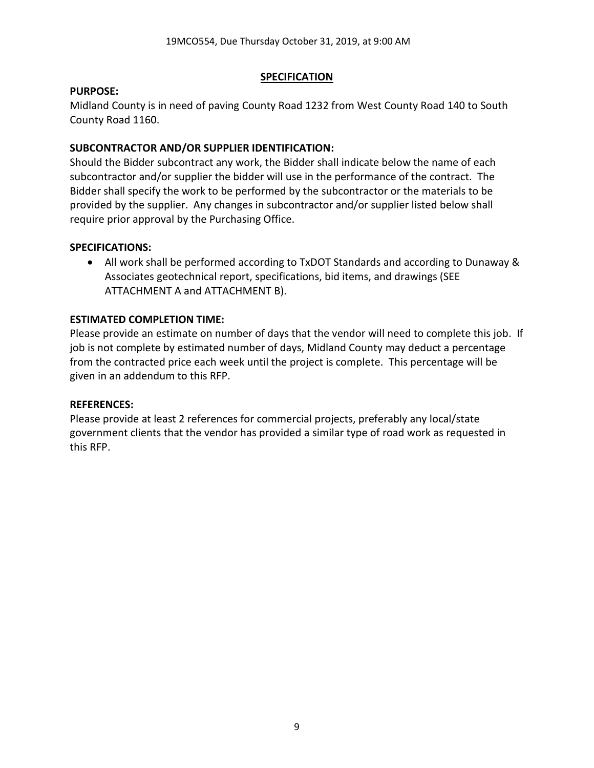### **SPECIFICATION**

### **PURPOSE:**

Midland County is in need of paving County Road 1232 from West County Road 140 to South County Road 1160.

# **SUBCONTRACTOR AND/OR SUPPLIER IDENTIFICATION:**

Should the Bidder subcontract any work, the Bidder shall indicate below the name of each subcontractor and/or supplier the bidder will use in the performance of the contract. The Bidder shall specify the work to be performed by the subcontractor or the materials to be provided by the supplier. Any changes in subcontractor and/or supplier listed below shall require prior approval by the Purchasing Office.

### **SPECIFICATIONS:**

• All work shall be performed according to TxDOT Standards and according to Dunaway & Associates geotechnical report, specifications, bid items, and drawings (SEE ATTACHMENT A and ATTACHMENT B).

# **ESTIMATED COMPLETION TIME:**

Please provide an estimate on number of days that the vendor will need to complete this job. If job is not complete by estimated number of days, Midland County may deduct a percentage from the contracted price each week until the project is complete. This percentage will be given in an addendum to this RFP.

### **REFERENCES:**

Please provide at least 2 references for commercial projects, preferably any local/state government clients that the vendor has provided a similar type of road work as requested in this RFP.